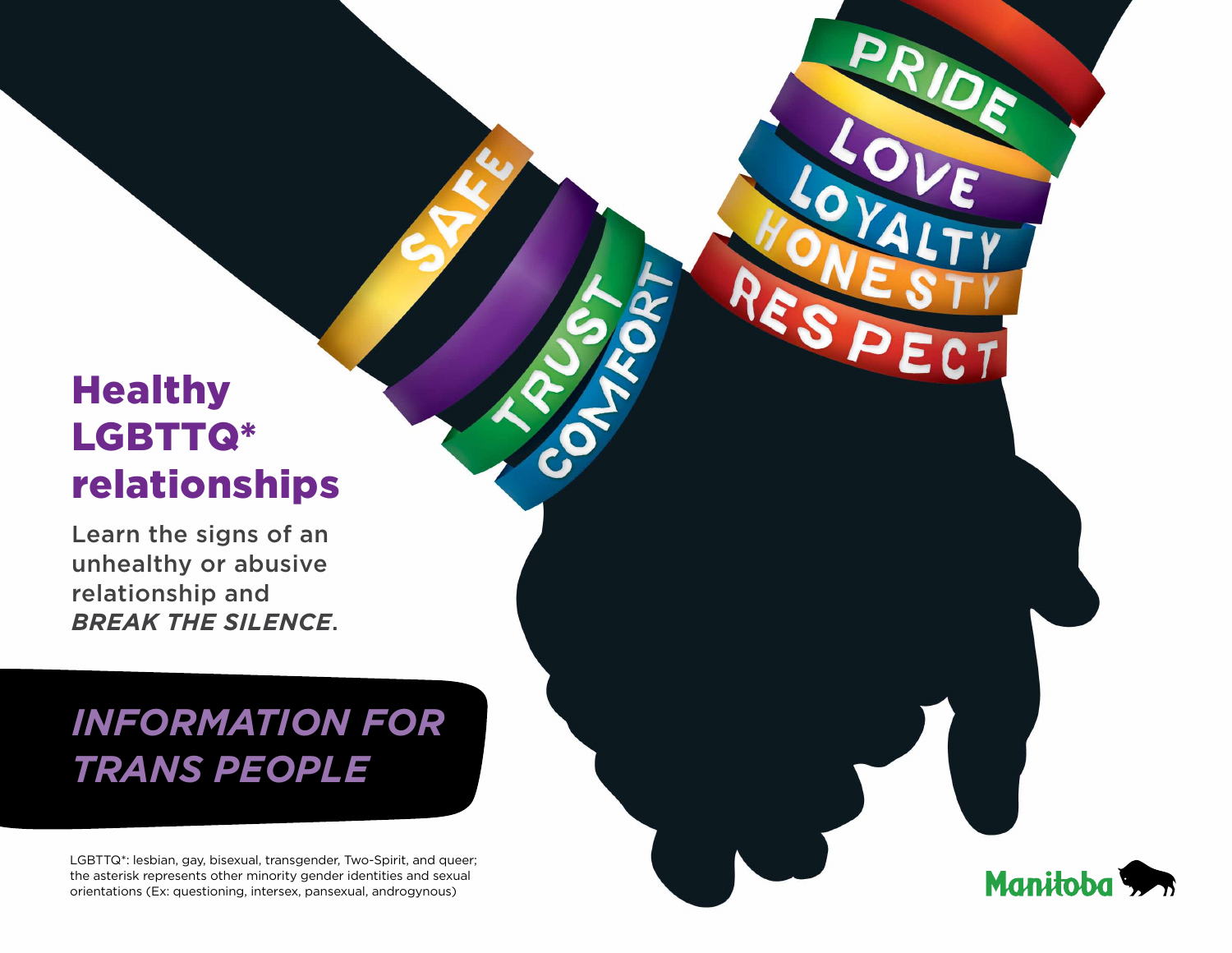# **Healthy** LGBTTQ\* relationships

Learn the signs of an unhealthy or abusive relationship and *break the silence*.

# *Information for trans people*

LGBTTQ\*: lesbian, gay, bisexual, transgender, Two-Spirit, and queer; the asterisk represents other minority gender identities and sexual orientations (Ex: questioning, intersex, pansexual, androgynous)

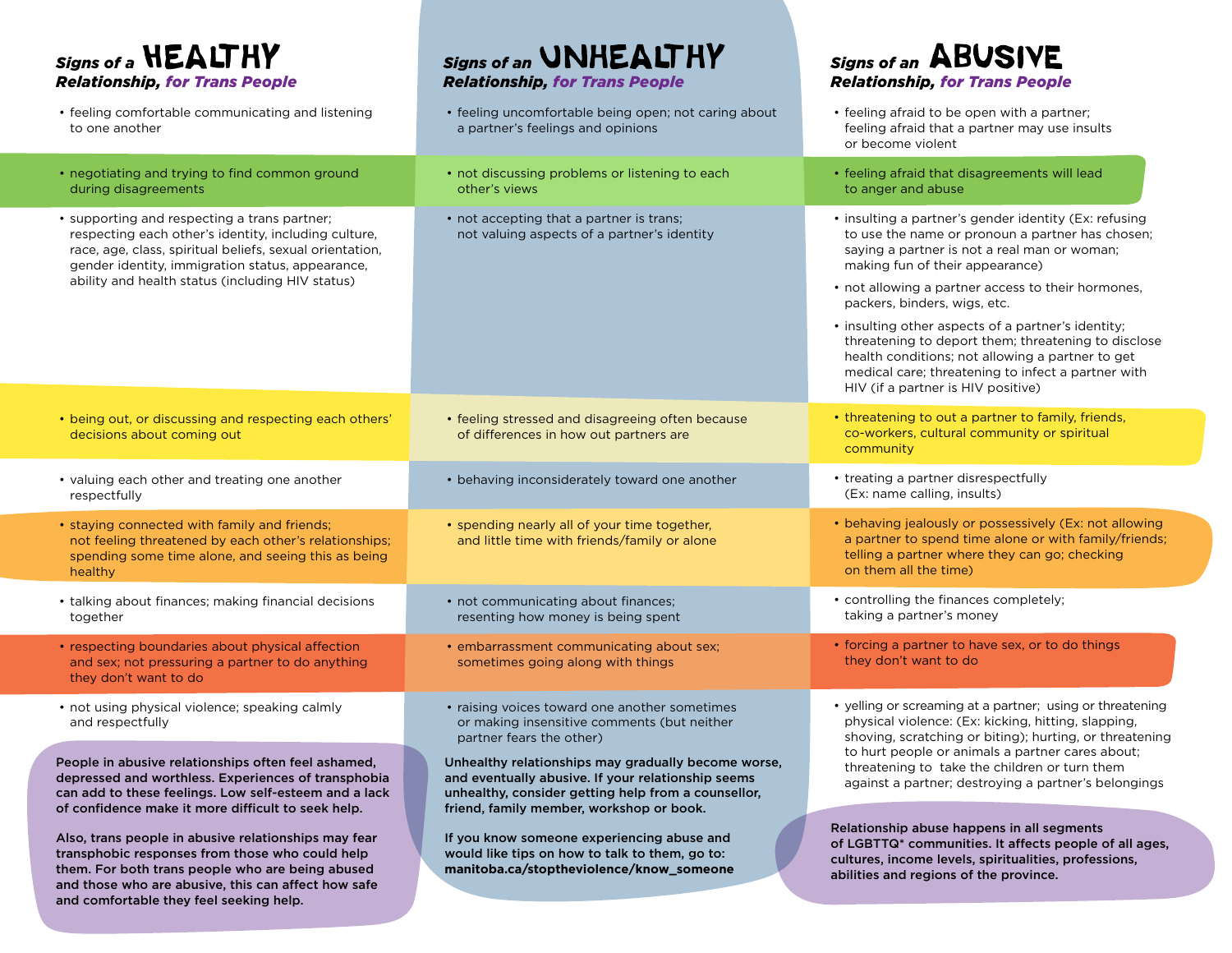**Signs of a <b>HEALTHY** *Relationship, for Trans People*

| • feeling comfortable communicating and listening<br>to one another                                                                                                                                                                                                      | • feeling uncomfortable being open; not caring about<br>a partner's feelings and opinions    | • feeling afraid to be open with a partner;<br>feeling afraid that a partner may use insults<br>or become violent                                                                                                                                                                                                                                                                                                                                                                                                                               |
|--------------------------------------------------------------------------------------------------------------------------------------------------------------------------------------------------------------------------------------------------------------------------|----------------------------------------------------------------------------------------------|-------------------------------------------------------------------------------------------------------------------------------------------------------------------------------------------------------------------------------------------------------------------------------------------------------------------------------------------------------------------------------------------------------------------------------------------------------------------------------------------------------------------------------------------------|
| • negotiating and trying to find common ground<br>during disagreements                                                                                                                                                                                                   | • not discussing problems or listening to each<br>other's views                              | • feeling afraid that disagreements will lead<br>to anger and abuse                                                                                                                                                                                                                                                                                                                                                                                                                                                                             |
| • supporting and respecting a trans partner;<br>respecting each other's identity, including culture,<br>race, age, class, spiritual beliefs, sexual orientation,<br>gender identity, immigration status, appearance,<br>ability and health status (including HIV status) | • not accepting that a partner is trans;<br>not valuing aspects of a partner's identity      | • insulting a partner's gender identity (Ex: refusing<br>to use the name or pronoun a partner has chosen;<br>saying a partner is not a real man or woman;<br>making fun of their appearance)<br>• not allowing a partner access to their hormones,<br>packers, binders, wigs, etc.<br>• insulting other aspects of a partner's identity;<br>threatening to deport them; threatening to disclose<br>health conditions; not allowing a partner to get<br>medical care; threatening to infect a partner with<br>HIV (if a partner is HIV positive) |
| • being out, or discussing and respecting each others'<br>decisions about coming out                                                                                                                                                                                     | • feeling stressed and disagreeing often because<br>of differences in how out partners are   | • threatening to out a partner to family, friends,<br>co-workers, cultural community or spiritual<br>community                                                                                                                                                                                                                                                                                                                                                                                                                                  |
| • valuing each other and treating one another<br>respectfully                                                                                                                                                                                                            | • behaving inconsiderately toward one another                                                | • treating a partner disrespectfully<br>(Ex: name calling, insults)                                                                                                                                                                                                                                                                                                                                                                                                                                                                             |
| • staying connected with family and friends;<br>not feeling threatened by each other's relationships;<br>spending some time alone, and seeing this as being<br>healthy                                                                                                   | • spending nearly all of your time together,<br>and little time with friends/family or alone | • behaving jealously or possessively (Ex: not allowing<br>a partner to spend time alone or with family/friends;<br>telling a partner where they can go; checking<br>on them all the time)                                                                                                                                                                                                                                                                                                                                                       |
| • talking about finances; making financial decisions<br>together                                                                                                                                                                                                         | • not communicating about finances;<br>resenting how money is being spent                    | • controlling the finances completely;<br>taking a partner's money                                                                                                                                                                                                                                                                                                                                                                                                                                                                              |

*Signs of an* **UNHEALTHY** *Relationship, for Trans People*

- respecting boundaries about physical affection and sex; not pressuring a partner to do anything they don't want to do
- not using physical violence; speaking calmly and respectfully

People in abusive relationships often feel ashamed, depressed and worthless. Experiences of transphobia can add to these feelings. Low self-esteem and a lack of confidence make it more difficult to seek help.

Also, trans people in abusive relationships may fear transphobic responses from those who could help them. For both trans people who are being abused and those who are abusive, this can affect how safe and comfortable they feel seeking help.

• raising voices toward one another sometimes or making insensitive comments (but neither partner fears the other)

• embarrassment communicating about sex; sometimes going along with things

Unhealthy relationships may gradually become worse, and eventually abusive. If your relationship seems unhealthy, consider getting help from a counsellor, friend, family member, workshop or book.

If you know someone experiencing abuse and would like tips on how to talk to them, go to: **manitoba.ca/stoptheviolence/know\_someone** • yelling or screaming at a partner; using or threatening physical violence: (Ex: kicking, hitting, slapping, shoving, scratching or biting); hurting, or threatening to hurt people or animals a partner cares about; threatening to take the children or turn them against a partner; destroying a partner's belongings

• forcing a partner to have sex, or to do things

they don't want to do

**Signs of an ABUSIVE** *Relationship, for Trans People*

Relationship abuse happens in all segments of LGBTTQ\* communities. It affects people of all ages, cultures, income levels, spiritualities, professions, abilities and regions of the province.